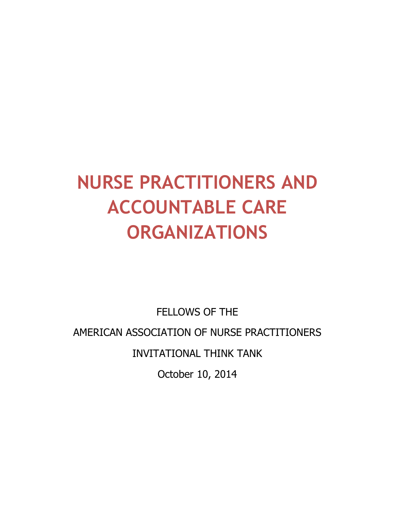# **NURSE PRACTITIONERS AND ACCOUNTABLE CARE ORGANIZATIONS**

FELLOWS OF THE AMERICAN ASSOCIATION OF NURSE PRACTITIONERS INVITATIONAL THINK TANK October 10, 2014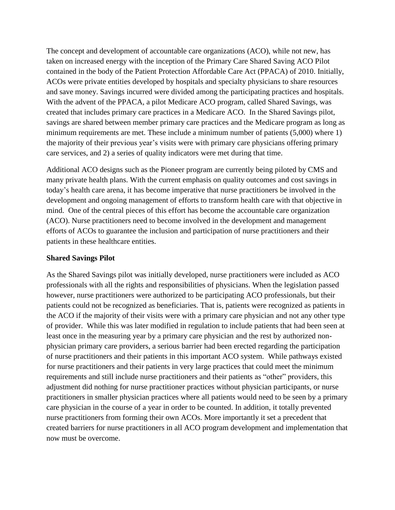The concept and development of accountable care organizations (ACO), while not new, has taken on increased energy with the inception of the Primary Care Shared Saving ACO Pilot contained in the body of the Patient Protection Affordable Care Act (PPACA) of 2010. Initially, ACOs were private entities developed by hospitals and specialty physicians to share resources and save money. Savings incurred were divided among the participating practices and hospitals. With the advent of the PPACA, a pilot Medicare ACO program, called Shared Savings, was created that includes primary care practices in a Medicare ACO. In the Shared Savings pilot, savings are shared between member primary care practices and the Medicare program as long as minimum requirements are met. These include a minimum number of patients (5,000) where 1) the majority of their previous year's visits were with primary care physicians offering primary care services, and 2) a series of quality indicators were met during that time.

Additional ACO designs such as the Pioneer program are currently being piloted by CMS and many private health plans. With the current emphasis on quality outcomes and cost savings in today's health care arena, it has become imperative that nurse practitioners be involved in the development and ongoing management of efforts to transform health care with that objective in mind. One of the central pieces of this effort has become the accountable care organization (ACO). Nurse practitioners need to become involved in the development and management efforts of ACOs to guarantee the inclusion and participation of nurse practitioners and their patients in these healthcare entities.

### **Shared Savings Pilot**

As the Shared Savings pilot was initially developed, nurse practitioners were included as ACO professionals with all the rights and responsibilities of physicians. When the legislation passed however, nurse practitioners were authorized to be participating ACO professionals, but their patients could not be recognized as beneficiaries. That is, patients were recognized as patients in the ACO if the majority of their visits were with a primary care physician and not any other type of provider. While this was later modified in regulation to include patients that had been seen at least once in the measuring year by a primary care physician and the rest by authorized nonphysician primary care providers, a serious barrier had been erected regarding the participation of nurse practitioners and their patients in this important ACO system. While pathways existed for nurse practitioners and their patients in very large practices that could meet the minimum requirements and still include nurse practitioners and their patients as "other" providers, this adjustment did nothing for nurse practitioner practices without physician participants, or nurse practitioners in smaller physician practices where all patients would need to be seen by a primary care physician in the course of a year in order to be counted. In addition, it totally prevented nurse practitioners from forming their own ACOs. More importantly it set a precedent that created barriers for nurse practitioners in all ACO program development and implementation that now must be overcome.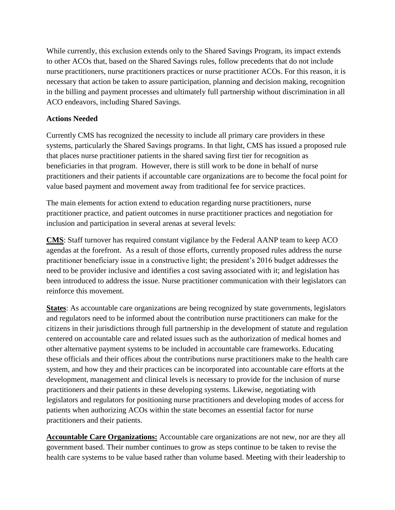While currently, this exclusion extends only to the Shared Savings Program, its impact extends to other ACOs that, based on the Shared Savings rules, follow precedents that do not include nurse practitioners, nurse practitioners practices or nurse practitioner ACOs. For this reason, it is necessary that action be taken to assure participation, planning and decision making, recognition in the billing and payment processes and ultimately full partnership without discrimination in all ACO endeavors, including Shared Savings.

## **Actions Needed**

Currently CMS has recognized the necessity to include all primary care providers in these systems, particularly the Shared Savings programs. In that light, CMS has issued a proposed rule that places nurse practitioner patients in the shared saving first tier for recognition as beneficiaries in that program. However, there is still work to be done in behalf of nurse practitioners and their patients if accountable care organizations are to become the focal point for value based payment and movement away from traditional fee for service practices.

The main elements for action extend to education regarding nurse practitioners, nurse practitioner practice, and patient outcomes in nurse practitioner practices and negotiation for inclusion and participation in several arenas at several levels:

**CMS**: Staff turnover has required constant vigilance by the Federal AANP team to keep ACO agendas at the forefront. As a result of those efforts, currently proposed rules address the nurse practitioner beneficiary issue in a constructive light; the president's 2016 budget addresses the need to be provider inclusive and identifies a cost saving associated with it; and legislation has been introduced to address the issue. Nurse practitioner communication with their legislators can reinforce this movement.

**States**: As accountable care organizations are being recognized by state governments, legislators and regulators need to be informed about the contribution nurse practitioners can make for the citizens in their jurisdictions through full partnership in the development of statute and regulation centered on accountable care and related issues such as the authorization of medical homes and other alternative payment systems to be included in accountable care frameworks. Educating these officials and their offices about the contributions nurse practitioners make to the health care system, and how they and their practices can be incorporated into accountable care efforts at the development, management and clinical levels is necessary to provide for the inclusion of nurse practitioners and their patients in these developing systems. Likewise, negotiating with legislators and regulators for positioning nurse practitioners and developing modes of access for patients when authorizing ACOs within the state becomes an essential factor for nurse practitioners and their patients.

**Accountable Care Organizations:** Accountable care organizations are not new, nor are they all government based. Their number continues to grow as steps continue to be taken to revise the health care systems to be value based rather than volume based. Meeting with their leadership to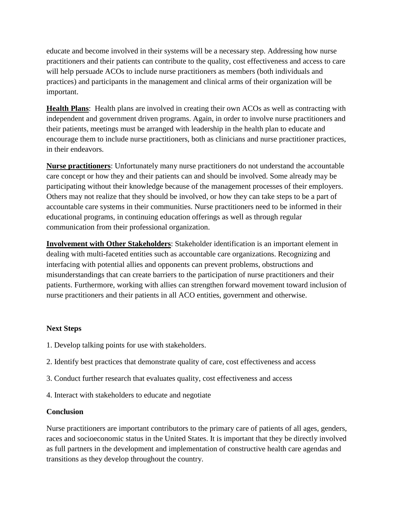educate and become involved in their systems will be a necessary step. Addressing how nurse practitioners and their patients can contribute to the quality, cost effectiveness and access to care will help persuade ACOs to include nurse practitioners as members (both individuals and practices) and participants in the management and clinical arms of their organization will be important.

**Health Plans**: Health plans are involved in creating their own ACOs as well as contracting with independent and government driven programs. Again, in order to involve nurse practitioners and their patients, meetings must be arranged with leadership in the health plan to educate and encourage them to include nurse practitioners, both as clinicians and nurse practitioner practices, in their endeavors.

**Nurse practitioners**: Unfortunately many nurse practitioners do not understand the accountable care concept or how they and their patients can and should be involved. Some already may be participating without their knowledge because of the management processes of their employers. Others may not realize that they should be involved, or how they can take steps to be a part of accountable care systems in their communities. Nurse practitioners need to be informed in their educational programs, in continuing education offerings as well as through regular communication from their professional organization.

**Involvement with Other Stakeholders**: Stakeholder identification is an important element in dealing with multi-faceted entities such as accountable care organizations. Recognizing and interfacing with potential allies and opponents can prevent problems, obstructions and misunderstandings that can create barriers to the participation of nurse practitioners and their patients. Furthermore, working with allies can strengthen forward movement toward inclusion of nurse practitioners and their patients in all ACO entities, government and otherwise.

## **Next Steps**

- 1. Develop talking points for use with stakeholders.
- 2. Identify best practices that demonstrate quality of care, cost effectiveness and access
- 3. Conduct further research that evaluates quality, cost effectiveness and access
- 4. Interact with stakeholders to educate and negotiate

#### **Conclusion**

Nurse practitioners are important contributors to the primary care of patients of all ages, genders, races and socioeconomic status in the United States. It is important that they be directly involved as full partners in the development and implementation of constructive health care agendas and transitions as they develop throughout the country.